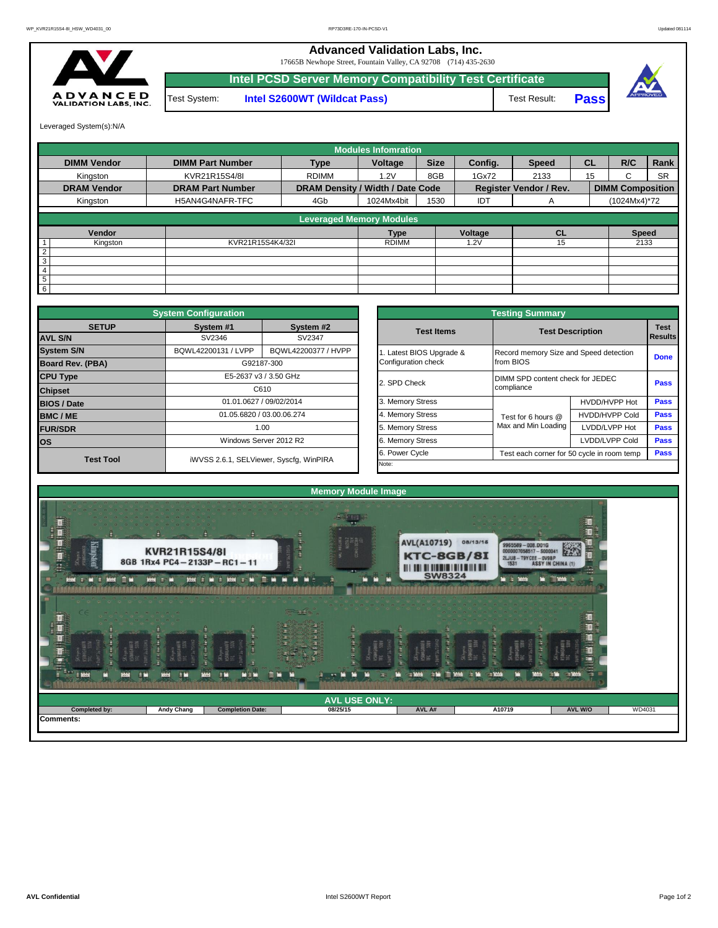**Advanced Validation Labs, Inc.** 

17665B Newhope Street, Fountain Valley, CA 92708 (714) 435-2630



**Intel S2600WT (Wildcat Pass)** Test Result: **Pass Intel PCSD Server Memory Compatibility Test Certificate** Test System:



Leveraged System(s):N/A

|                    |                               |                                  | <b>Modules Infomration</b>      |             |                               |              |                         |              |           |
|--------------------|-------------------------------|----------------------------------|---------------------------------|-------------|-------------------------------|--------------|-------------------------|--------------|-----------|
| <b>DIMM Vendor</b> | <b>DIMM Part Number</b>       | <b>Type</b>                      | Voltage                         | <b>Size</b> | Config.                       | <b>Speed</b> | <b>CL</b>               | R/C          | Rank      |
| Kingston           | KVR21R15S4/8I<br><b>RDIMM</b> |                                  | 1.2V                            | 8GB         |                               | 2133         | 15                      | C.           | <b>SR</b> |
| <b>DRAM Vendor</b> | <b>DRAM Part Number</b>       | DRAM Density / Width / Date Code |                                 |             | <b>Register Vendor / Rev.</b> |              | <b>DIMM Composition</b> |              |           |
| Kingston           | H5AN4G4NAFR-TFC               | 4Gb                              | 1024Mx4bit                      | 1530        | IDT                           | A            |                         | (1024Mx4)*72 |           |
|                    |                               |                                  | <b>Leveraged Memory Modules</b> |             |                               |              |                         |              |           |
| Vendor             |                               |                                  | <b>Type</b>                     |             | Voltage                       | <b>CL</b>    |                         | <b>Speed</b> |           |
| Kingston           | KVR21R15S4K4/32I              | <b>RDIMM</b>                     |                                 |             | 1.2V                          | 15           |                         | 2133         |           |
|                    | $\overline{2}$                |                                  |                                 |             |                               |              |                         |              |           |
| 3                  |                               |                                  |                                 |             |                               |              |                         |              |           |
| $\overline{4}$     |                               |                                  |                                 |             |                               |              |                         |              |           |
| 5                  |                               |                                  |                                 |             |                               |              |                         |              |           |
| 6                  |                               |                                  |                                 |             |                               |              |                         |              |           |

|                         | <b>System Configuration</b>             |                           |                  | <b>Testing Summary</b> |                                        |                                            |             |  |  |  |  |  |
|-------------------------|-----------------------------------------|---------------------------|------------------|------------------------|----------------------------------------|--------------------------------------------|-------------|--|--|--|--|--|
| <b>SETUP</b>            | System #1                               | System #2                 |                  | <b>Test Items</b>      | <b>Test Description</b>                | <b>Test</b>                                |             |  |  |  |  |  |
| <b>AVL S/N</b>          | SV2346                                  | SV2347                    |                  |                        |                                        |                                            | Results     |  |  |  |  |  |
| <b>System S/N</b>       | BQWL42200131 / LVPP                     | BQWL42200377 / HVPP       |                  | Latest BIOS Upgrade &  | Record memory Size and Speed detection |                                            | <b>Done</b> |  |  |  |  |  |
| <b>Board Rev. (PBA)</b> |                                         | G92187-300                |                  | Configuration check    | from BIOS                              |                                            |             |  |  |  |  |  |
| <b>CPU Type</b>         |                                         | E5-2637 v3 / 3.50 GHz     |                  | 2. SPD Check           | DIMM SPD content check for JEDEC       |                                            | <b>Pass</b> |  |  |  |  |  |
| <b>Chipset</b>          | C610                                    |                           |                  |                        | compliance                             |                                            |             |  |  |  |  |  |
| <b>BIOS / Date</b>      |                                         | 01.01.0627 / 09/02/2014   |                  | 3. Memory Stress       |                                        | HVDD/HVPP Hot                              | <b>Pass</b> |  |  |  |  |  |
| <b>BMC/ME</b>           |                                         | 01.05.6820 / 03.00.06.274 |                  | 4. Memory Stress       | Test for 6 hours @                     | <b>HVDD/HVPP Cold</b>                      | Pass        |  |  |  |  |  |
| <b>FUR/SDR</b>          |                                         | 1.00                      |                  | 5. Memory Stress       | Max and Min Loading                    | LVDD/LVPP Hot                              | Pass        |  |  |  |  |  |
| los                     | Windows Server 2012 R2                  |                           | 6. Memory Stress |                        | LVDD/LVPP Cold                         | <b>Pass</b>                                |             |  |  |  |  |  |
| <b>Test Tool</b>        |                                         |                           |                  | 6. Power Cycle         |                                        | Test each corner for 50 cycle in room temp |             |  |  |  |  |  |
|                         | iWVSS 2.6.1, SELViewer, Syscfq, WinPIRA |                           |                  | Note:                  |                                        |                                            |             |  |  |  |  |  |

|              | <b>System Configuration</b> |                                         |                       | <b>Testing Summary</b>                              |                       |                |  |  |  |
|--------------|-----------------------------|-----------------------------------------|-----------------------|-----------------------------------------------------|-----------------------|----------------|--|--|--|
| <b>SETUP</b> | System #1                   | System #2                               | <b>Test Items</b>     | <b>Test Description</b>                             |                       |                |  |  |  |
|              | SV2346                      | SV2347                                  |                       |                                                     |                       | <b>Results</b> |  |  |  |
|              | BQWL42200131 / LVPP         | BQWL42200377 / HVPP                     | Latest BIOS Upgrade & | Record memory Size and Speed detection<br>from BIOS |                       |                |  |  |  |
| PBA)         |                             | G92187-300                              | Configuration check   |                                                     |                       |                |  |  |  |
|              |                             | E5-2637 v3 / 3.50 GHz                   | 2. SPD Check          | DIMM SPD content check for JEDEC                    |                       |                |  |  |  |
|              |                             | C610                                    |                       | compliance                                          |                       | <b>Pass</b>    |  |  |  |
|              |                             | 01.01.0627 / 09/02/2014                 | 3. Memory Stress      |                                                     | HVDD/HVPP Hot         | Pass           |  |  |  |
|              |                             | 01.05.6820 / 03.00.06.274               | 4. Memory Stress      | Test for 6 hours @                                  | <b>HVDD/HVPP Cold</b> | Pass           |  |  |  |
|              |                             | 1.00                                    | 5. Memory Stress      | Max and Min Loading                                 | LVDD/LVPP Hot         | Pass           |  |  |  |
|              |                             | Windows Server 2012 R2                  | 6. Memory Stress      |                                                     | LVDD/LVPP Cold        | Pass           |  |  |  |
|              |                             |                                         | 6. Power Cycle        | Test each corner for 50 cycle in room temp          |                       | Pass           |  |  |  |
| est Tool     |                             | iWVSS 2.6.1, SELViewer, Syscfg, WinPIRA | Note:                 |                                                     |                       |                |  |  |  |

|                                                   |                                                                   |    | <b>Memory Module Image</b> |                                                                                     |                                                                               |         |        |
|---------------------------------------------------|-------------------------------------------------------------------|----|----------------------------|-------------------------------------------------------------------------------------|-------------------------------------------------------------------------------|---------|--------|
| Ц<br>Kingston<br>里生<br>r r<br>- 1<br><b>Metal</b> | <b>KVR21R15S4/8I</b><br>8GB 1Rx4 PC4-2133P-RC1-11<br><b>There</b> | в  |                            | <b>AVL(A10719)</b><br>KTC-8GB/8I<br><b>III III III IIII IIII IIII III</b><br>SW8324 | 08/13/15<br>9965589-008.D01G<br>0000007058517 - \$00004<br>2LJU8-T9YCEE-OV9BP |         |        |
| 量<br>Жü                                           | P٣<br>X6.                                                         | WH |                            |                                                                                     |                                                                               | ≣       |        |
|                                                   |                                                                   |    | <b>AVL USE ONLY:</b>       |                                                                                     |                                                                               |         |        |
| Completed by:                                     |                                                                   |    | 08/25/15                   | AVL A#                                                                              | A10719                                                                        | AVL W/O | WD4031 |